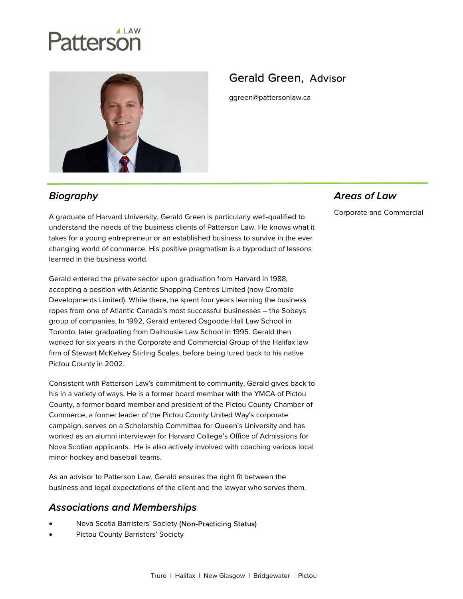# Patterson



# Gerald Green, Advisor

ggreen@pattersonlaw.ca

# **Biography**

A graduate of Harvard University, Gerald Green is particularly well-qualified to understand the needs of the business clients of Patterson Law. He knows what it takes for a young entrepreneur or an established business to survive in the ever changing world of commerce. His positive pragmatism is a byproduct of lessons learned in the business world.

Gerald entered the private sector upon graduation from Harvard in 1988, accepting a position with Atlantic Shopping Centres Limited (now Crombie Developments Limited). While there, he spent four years learning the business ropes from one of Atlantic Canada's most successful businesses – the Sobeys group of companies. In 1992, Gerald entered Osgoode Hall Law School in Toronto, later graduating from Dalhousie Law School in 1995. Gerald then worked for six years in the Corporate and Commercial Group of the Halifax law firm of Stewart McKelvey Stirling Scales, before being lured back to his native Pictou County in 2002.

Consistent with Patterson Law's commitment to community, Gerald gives back to his in a variety of ways. He is a former board member with the YMCA of Pictou County, a former board member and president of the Pictou County Chamber of Commerce, a former leader of the Pictou County United Way's corporate campaign, serves on a Scholarship Committee for Queen's University and has worked as an alumni interviewer for Harvard College's Office of Admissions for Nova Scotian applicants. He is also actively involved with coaching various local minor hockey and baseball teams.

As an advisor to Patterson Law, Gerald ensures the right fit between the business and legal expectations of the client and the lawyer who serves them.

#### **Associations and Memberships**

- Nova Scotia Barristers' Society (Non-Practicing Status)
- Pictou County Barristers' Society

# **Areas of Law**

Corporate and Commercial